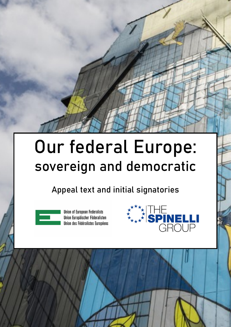## Our federal Europe: sovereign and democratic

Appeal text and initial signatories



**Union of European Federalists** Union Europäischer Föderalisten Union des Fédéralistes Européens



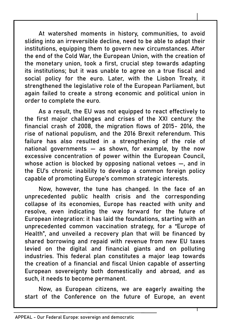At watershed moments in history, communities, to avoid sliding into an irreversible decline, need to be able to adapt their institutions, equipping them to govern new circumstances. After the end of the Cold War, the European Union, with the creation of the monetary union, took a first, crucial step towards adapting its institutions; but it was unable to agree on a true fiscal and social policy for the euro. Later, with the Lisbon Treaty, it strengthened the legislative role of the European Parliament, but again failed to create a strong economic and political union in order to complete the euro.

As a result, the EU was not equipped to react effectively to the first major challenges and crises of the XXI century: the financial crash of 2008, the migration flows of 2015- 2016, the rise of national populism, and the 2016 Brexit referendum. This failure has also resulted in a strengthening of the role of national governments — as shown, for example, by the now excessive concentration of power within the European Council, whose action is blocked by opposing national vetoes —, and in the EU's chronic inability to develop a common foreign policy capable of promoting Europe's common strategic interests.

Now, however, the tune has changed. In the face of an unprecedented public health crisis and the corresponding collapse of its economies, Europe has reacted with unity and resolve, even indicating the way forward for the future of European integration: it has laid the foundations, starting with an unprecedented common vaccination strategy, for a "Europe of Health", and unveiled a recovery plan that will be financed by shared borrowing and repaid with revenue from new EU taxes levied on the digital and financial giants and on polluting industries. This federal plan constitutes a major leap towards the creation of a financial and fiscal Union capable of asserting European sovereignty both domestically and abroad, and as such, it needs to become permanent.

Now, as European citizens, we are eagerly awaiting the start of the Conference on the future of Europe, an event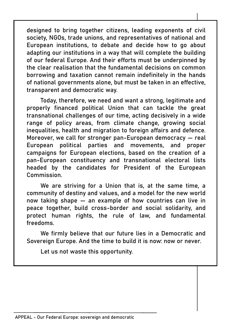designed to bring together citizens, leading exponents of civil society, NGOs, trade unions, and representatives of national and European institutions, to debate and decide how to go about adapting our institutions in a way that will complete the building of our federal Europe. And their efforts must be underpinned by the clear realisation that the fundamental decisions on common borrowing and taxation cannot remain indefinitely in the hands of national governments alone, but must be taken in an effective, transparent and democratic way.

Today, therefore, we need and want a strong, legitimate and properly financed political Union that can tackle the great transnational challenges of our time, acting decisively in a wide range of policy areas, from climate change, growing social inequalities, health and migration to foreign affairs and defence. Moreover, we call for stronger pan-European democracy — real European political parties and movements, and proper campaigns for European elections, based on the creation of a pan-European constituency and transnational electoral lists headed by the candidates for President of the European **Commission** 

We are striving for a Union that is, at the same time, a community of destiny and values, and a model for the new world now taking shape — an example of how countries can live in peace together, build cross-border and social solidarity, and protect human rights, the rule of law, and fundamental freedoms.

We firmly believe that our future lies in a Democratic and Sovereign Europe. And the time to build it is now: now or never.

Let us not waste this opportunity.